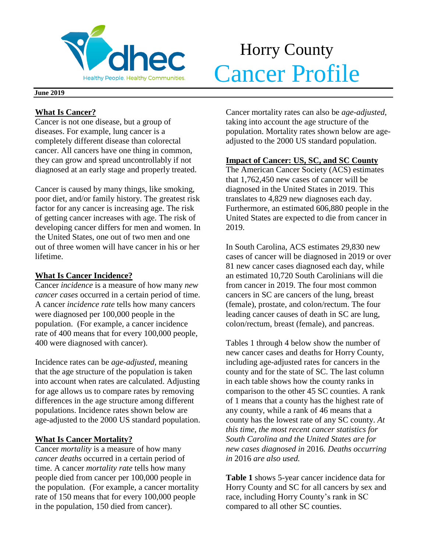

# Horry County **Cancer Profile**

#### **June 2019**

# **What Is Cancer?**

Cancer is not one disease, but a group of diseases. For example, lung cancer is a completely different disease than colorectal cancer. All cancers have one thing in common, they can grow and spread uncontrollably if not diagnosed at an early stage and properly treated.

Cancer is caused by many things, like smoking, poor diet, and/or family history. The greatest risk factor for any cancer is increasing age. The risk of getting cancer increases with age. The risk of developing cancer differs for men and women. In the United States, one out of two men and one out of three women will have cancer in his or her lifetime.

# **What Is Cancer Incidence?**

Cancer *incidence* is a measure of how many *new cancer cases* occurred in a certain period of time. A cancer *incidence rate* tells how many cancers were diagnosed per 100,000 people in the population. (For example, a cancer incidence rate of 400 means that for every 100,000 people, 400 were diagnosed with cancer).

Incidence rates can be *age-adjusted*, meaning that the age structure of the population is taken into account when rates are calculated. Adjusting for age allows us to compare rates by removing differences in the age structure among different populations. Incidence rates shown below are age-adjusted to the 2000 US standard population.

# **What Is Cancer Mortality?**

Cancer *mortality* is a measure of how many *cancer deaths* occurred in a certain period of time. A cancer *mortality rate* tells how many people died from cancer per 100,000 people in the population. (For example, a cancer mortality rate of 150 means that for every 100,000 people in the population, 150 died from cancer).

Cancer mortality rates can also be *age-adjusted*, taking into account the age structure of the population. Mortality rates shown below are ageadjusted to the 2000 US standard population.

# **Impact of Cancer: US, SC, and SC County**

The American Cancer Society (ACS) estimates that 1,762,450 new cases of cancer will be diagnosed in the United States in 2019. This translates to 4,829 new diagnoses each day. Furthermore, an estimated 606,880 people in the United States are expected to die from cancer in 2019.

In South Carolina, ACS estimates 29,830 new cases of cancer will be diagnosed in 2019 or over 81 new cancer cases diagnosed each day, while an estimated 10,720 South Carolinians will die from cancer in 2019. The four most common cancers in SC are cancers of the lung, breast (female), prostate, and colon/rectum. The four leading cancer causes of death in SC are lung, colon/rectum, breast (female), and pancreas.

Tables 1 through 4 below show the number of new cancer cases and deaths for Horry County, including age-adjusted rates for cancers in the county and for the state of SC. The last column in each table shows how the county ranks in comparison to the other 45 SC counties. A rank of 1 means that a county has the highest rate of any county, while a rank of 46 means that a county has the lowest rate of any SC county. *At this time, the most recent cancer statistics for South Carolina and the United States are for new cases diagnosed in* 2016*. Deaths occurring in* 2016 *are also used.*

**Table 1** shows 5-year cancer incidence data for Horry County and SC for all cancers by sex and race, including Horry County's rank in SC compared to all other SC counties.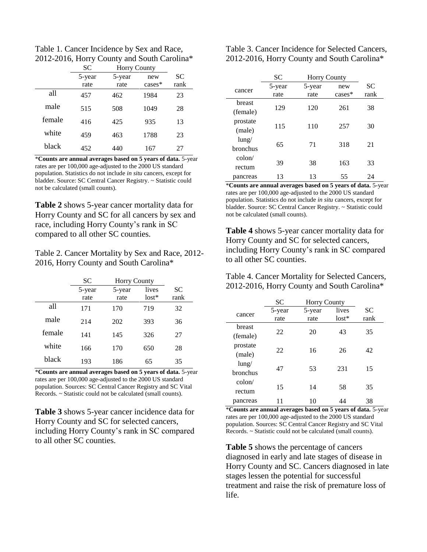Table 1. Cancer Incidence by Sex and Race, 2012-2016, Horry County and South Carolina\*

|        | <b>SC</b> | <b>Horry County</b> |           |           |
|--------|-----------|---------------------|-----------|-----------|
|        | 5-year    | 5-year              | new       | <b>SC</b> |
|        | rate      | rate                | $cases^*$ | rank      |
| all    | 457       | 462                 | 1984      | 23        |
| male   | 515       | 508                 | 1049      | 28        |
| female | 416       | 425                 | 935       | 13        |
| white  | 459       | 463                 | 1788      | 23        |
| black  | 452       | 440                 | 167       | 27        |

\***Counts are annual averages based on 5 years of data.** 5-year rates are per 100,000 age-adjusted to the 2000 US standard population. Statistics do not include *in situ* cancers, except for bladder. Source: SC Central Cancer Registry. ~ Statistic could not be calculated (small counts).

**Table 2** shows 5-year cancer mortality data for Horry County and SC for all cancers by sex and race, including Horry County's rank in SC compared to all other SC counties.

Table 2. Cancer Mortality by Sex and Race, 2012- 2016, Horry County and South Carolina\*

|        | <b>SC</b>      | <b>Horry County</b> |                  |            |
|--------|----------------|---------------------|------------------|------------|
|        | 5-year<br>rate | 5-year<br>rate      | lives<br>$lost*$ | SС<br>rank |
| all    | 171            | 170                 | 719              | 32         |
| male   | 214            | 202                 | 393              | 36         |
| female | 141            | 145                 | 326              | 27         |
| white  | 166            | 170                 | 650              | 28         |
| black  | 193            | 186                 | 65               | 35         |

\***Counts are annual averages based on 5 years of data.** 5-year rates are per 100,000 age-adjusted to the 2000 US standard population. Sources: SC Central Cancer Registry and SC Vital Records. ~ Statistic could not be calculated (small counts).

**Table 3** shows 5-year cancer incidence data for Horry County and SC for selected cancers, including Horry County's rank in SC compared to all other SC counties.

Table 3. Cancer Incidence for Selected Cancers, 2012-2016, Horry County and South Carolina\*

|                 | <b>SC</b> | <b>Horry County</b> |           |           |
|-----------------|-----------|---------------------|-----------|-----------|
| cancer          | 5-year    | 5-year              | new       | <b>SC</b> |
|                 | rate      | rate                | $cases^*$ | rank      |
| breast          | 129       | 120<br>261          |           | 38        |
| (female)        |           |                     |           |           |
| prostate        |           | 110                 | 257       |           |
| (male)          | 115       |                     | 30        |           |
| $l$ ung/        | 65        | 71                  | 318       |           |
| <b>bronchus</b> |           |                     |           | 21        |
| $\text{colon}/$ |           |                     |           |           |
| rectum          | 39        | 38                  | 163       | 33        |
| pancreas        | 13        | 13                  | 55        | 24        |

\***Counts are annual averages based on 5 years of data.** 5-year rates are per 100,000 age-adjusted to the 2000 US standard population. Statistics do not include *in situ* cancers, except for bladder. Source: SC Central Cancer Registry. ~ Statistic could not be calculated (small counts).

**Table 4** shows 5-year cancer mortality data for Horry County and SC for selected cancers, including Horry County's rank in SC compared to all other SC counties.

Table 4. Cancer Mortality for Selected Cancers, 2012-2016, Horry County and South Carolina\*

|                 | <b>SC</b> | <b>Horry County</b> |         |           |
|-----------------|-----------|---------------------|---------|-----------|
| cancer          | 5-year    | 5-year              | lives   | <b>SC</b> |
|                 | rate      | rate                | $lost*$ | rank      |
| breast          | 22        | 20                  | 43      | 35        |
| (female)        |           |                     |         |           |
| prostate        |           |                     |         |           |
| (male)          | 22        | 16                  | 26      | 42        |
| $l$ ung/        | 47        |                     | 231     | 15        |
| bronchus        |           | 53                  |         |           |
| $\text{colon}/$ |           |                     |         |           |
| rectum          | 15        | 14                  | 58      | 35        |
| pancreas        | 11        | 10                  | 44      | 38        |

\***Counts are annual averages based on 5 years of data.** 5-year rates are per 100,000 age-adjusted to the 2000 US standard population. Sources: SC Central Cancer Registry and SC Vital Records. ~ Statistic could not be calculated (small counts).

**Table 5** shows the percentage of cancers diagnosed in early and late stages of disease in Horry County and SC. Cancers diagnosed in late stages lessen the potential for successful treatment and raise the risk of premature loss of life.